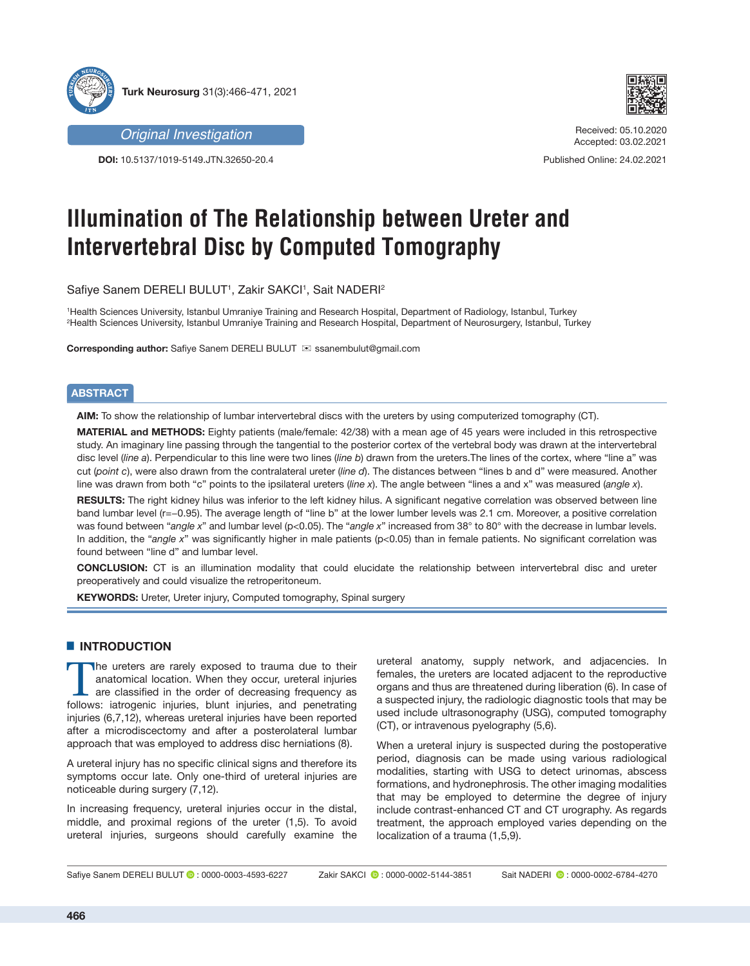

*Original Investigation*

**DOI:** 10.5137/1019-5149.JTN.32650-20.4



Received: 05.10.2020 Accepted: 03.02.2021

Published Online: 24.02.2021

# **Illumination of The Relationship between Ureter and Intervertebral Disc by Computed Tomography**

Safiye Sanem DERELI BULUT1, Zakir SAKCI1, Sait NADERI<del>2</del>

1 Health Sciences University, Istanbul Umraniye Training and Research Hospital, Department of Radiology, Istanbul, Turkey 2 Health Sciences University, Istanbul Umraniye Training and Research Hospital, Department of Neurosurgery, Istanbul, Turkey

**Corresponding author:** Safiye Sanem DERELI BULUT **ixed is a sanembulut@gmail.com** 

# **ABSTRACT**

**AIM:** To show the relationship of lumbar intervertebral discs with the ureters by using computerized tomography (CT).

**MATERIAL and METHODS:** Eighty patients (male/female: 42/38) with a mean age of 45 years were included in this retrospective study. An imaginary line passing through the tangential to the posterior cortex of the vertebral body was drawn at the intervertebral disc level (*line a*). Perpendicular to this line were two lines (*line b*) drawn from the ureters.The lines of the cortex, where "line a" was cut (*point c*), were also drawn from the contralateral ureter (*line d*). The distances between "lines b and d" were measured. Another line was drawn from both "c" points to the ipsilateral ureters (*line x*). The angle between "lines a and x" was measured (*angle x*).

**RESULTS:** The right kidney hilus was inferior to the left kidney hilus. A significant negative correlation was observed between line band lumbar level (r=−0.95). The average length of "line b" at the lower lumber levels was 2.1 cm. Moreover, a positive correlation was found between "*angle x*" and lumbar level (p<0.05). The "*angle x*" increased from 38° to 80° with the decrease in lumbar levels. In addition, the "angle x" was significantly higher in male patients (p<0.05) than in female patients. No significant correlation was found between "line d" and lumbar level.

**CONCLUSION:** CT is an illumination modality that could elucidate the relationship between intervertebral disc and ureter preoperatively and could visualize the retroperitoneum.

**KEYWORDS:** Ureter, Ureter injury, Computed tomography, Spinal surgery

# **E** INTRODUCTION

The ureters are rarely exposed to trauma due to their<br>
anatomical location. When they occur, ureteral injuries<br>
are classified in the order of decreasing frequency as<br>
follows: istroganic injuries blunt injuries and penetr anatomical location. When they occur, ureteral injuries follows: iatrogenic injuries, blunt injuries, and penetrating injuries (6,7,12), whereas ureteral injuries have been reported after a microdiscectomy and after a posterolateral lumbar approach that was employed to address disc herniations (8).

A ureteral injury has no specific clinical signs and therefore its symptoms occur late. Only one-third of ureteral injuries are noticeable during surgery (7,12).

In increasing frequency, ureteral injuries occur in the distal, middle, and proximal regions of the ureter (1,5). To avoid ureteral injuries, surgeons should carefully examine the ureteral anatomy, supply network, and adjacencies. In females, the ureters are located adjacent to the reproductive organs and thus are threatened during liberation (6). In case of a suspected injury, the radiologic diagnostic tools that may be used include ultrasonography (USG), computed tomography (CT), or intravenous pyelography (5,6).

When a ureteral injury is suspected during the postoperative period, diagnosis can be made using various radiological modalities, starting with USG to detect urinomas, abscess formations, and hydronephrosis. The other imaging modalities that may be employed to determine the degree of injury include contrast-enhanced CT and CT urography. As regards treatment, the approach employed varies depending on the localization of a trauma (1,5,9).

Safiye Sanem DERELI BULUT (2:0000-0003-4593-6227 Zakir SAKCI (2:0000-0002-5144-3851 Sait NADERI (2:0000-0002-6784-4270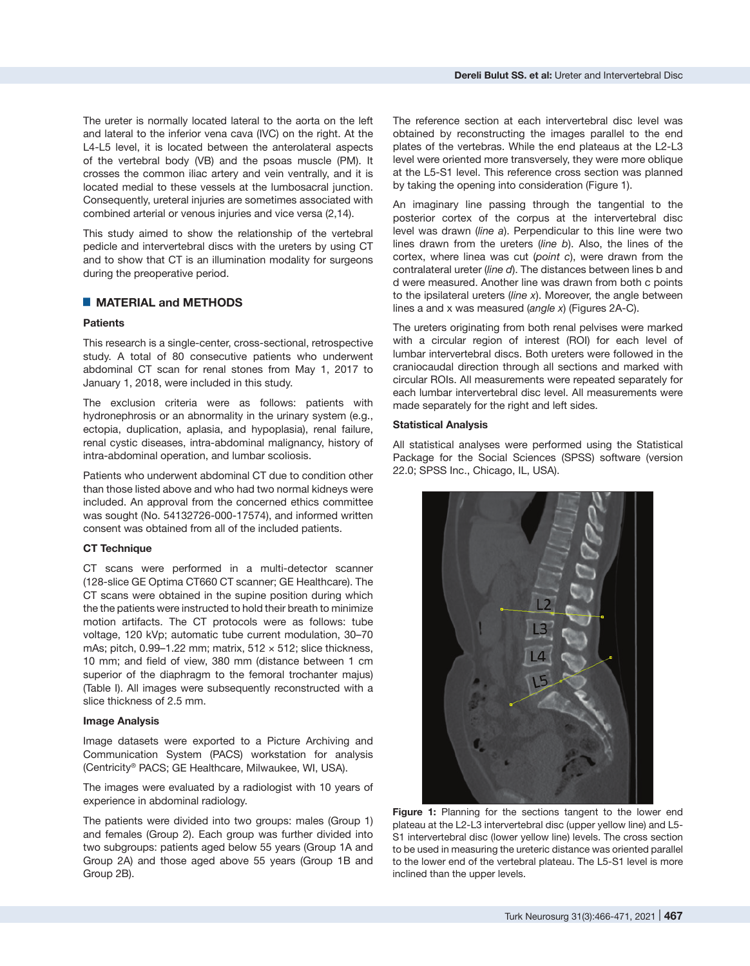The ureter is normally located lateral to the aorta on the left and lateral to the inferior vena cava (IVC) on the right. At the L4-L5 level, it is located between the anterolateral aspects of the vertebral body (VB) and the psoas muscle (PM). It crosses the common iliac artery and vein ventrally, and it is located medial to these vessels at the lumbosacral junction. Consequently, ureteral injuries are sometimes associated with combined arterial or venous injuries and vice versa (2,14).

This study aimed to show the relationship of the vertebral pedicle and intervertebral discs with the ureters by using CT and to show that CT is an illumination modality for surgeons during the preoperative period.

## █ **MATERIAL and METHODS**

## **Patients**

This research is a single-center, cross-sectional, retrospective study. A total of 80 consecutive patients who underwent abdominal CT scan for renal stones from May 1, 2017 to January 1, 2018, were included in this study.

The exclusion criteria were as follows: patients with hydronephrosis or an abnormality in the urinary system (e.g., ectopia, duplication, aplasia, and hypoplasia), renal failure, renal cystic diseases, intra-abdominal malignancy, history of intra-abdominal operation, and lumbar scoliosis.

Patients who underwent abdominal CT due to condition other than those listed above and who had two normal kidneys were included. An approval from the concerned ethics committee was sought (No. 54132726-000-17574), and informed written consent was obtained from all of the included patients.

#### **CT Technique**

CT scans were performed in a multi-detector scanner (128-slice GE Optima CT660 CT scanner; GE Healthcare). The CT scans were obtained in the supine position during which the the patients were instructed to hold their breath to minimize motion artifacts. The CT protocols were as follows: tube voltage, 120 kVp; automatic tube current modulation, 30–70 mAs; pitch,  $0.99-1.22$  mm; matrix,  $512 \times 512$ ; slice thickness, 10 mm; and field of view, 380 mm (distance between 1 cm superior of the diaphragm to the femoral trochanter majus) (Table I). All images were subsequently reconstructed with a slice thickness of 2.5 mm.

#### **Image Analysis**

Image datasets were exported to a Picture Archiving and Communication System (PACS) workstation for analysis (Centricity® PACS; GE Healthcare, Milwaukee, WI, USA).

The images were evaluated by a radiologist with 10 years of experience in abdominal radiology.

The patients were divided into two groups: males (Group 1) and females (Group 2). Each group was further divided into two subgroups: patients aged below 55 years (Group 1A and Group 2A) and those aged above 55 years (Group 1B and Group 2B).

The reference section at each intervertebral disc level was obtained by reconstructing the images parallel to the end plates of the vertebras. While the end plateaus at the L2-L3 level were oriented more transversely, they were more oblique at the L5-S1 level. This reference cross section was planned by taking the opening into consideration (Figure 1).

An imaginary line passing through the tangential to the posterior cortex of the corpus at the intervertebral disc level was drawn (*line a*). Perpendicular to this line were two lines drawn from the ureters (*line b*). Also, the lines of the cortex, where linea was cut (*point c*), were drawn from the contralateral ureter (*line d*). The distances between lines b and d were measured. Another line was drawn from both c points to the ipsilateral ureters (*line x*). Moreover, the angle between lines a and x was measured (*angle x*) (Figures 2A-C).

The ureters originating from both renal pelvises were marked with a circular region of interest (ROI) for each level of lumbar intervertebral discs. Both ureters were followed in the craniocaudal direction through all sections and marked with circular ROIs. All measurements were repeated separately for each lumbar intervertebral disc level. All measurements were made separately for the right and left sides.

#### **Statistical Analysis**

All statistical analyses were performed using the Statistical Package for the Social Sciences (SPSS) software (version 22.0; SPSS Inc., Chicago, IL, USA).



**Figure 1:** Planning for the sections tangent to the lower end plateau at the L2-L3 intervertebral disc (upper yellow line) and L5- S1 intervertebral disc (lower yellow line) levels. The cross section to be used in measuring the ureteric distance was oriented parallel to the lower end of the vertebral plateau. The L5-S1 level is more inclined than the upper levels.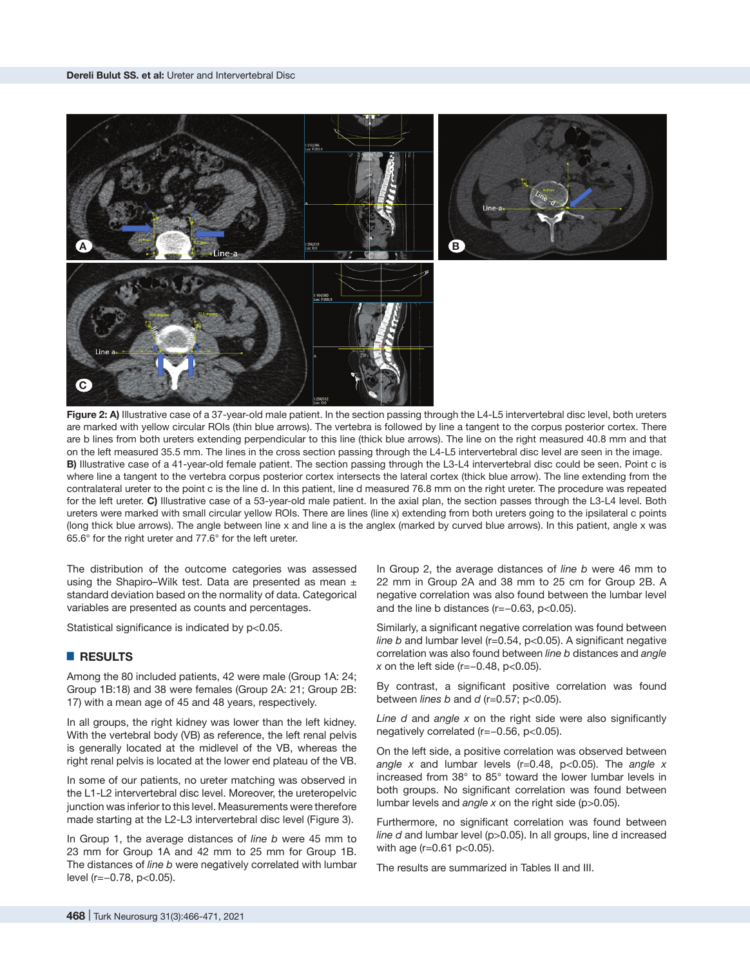

Figure 2: A) Illustrative case of a 37-year-old male patient. In the section passing through the L4-L5 intervertebral disc level, both ureters are marked with yellow circular ROIs (thin blue arrows). The vertebra is followed by line a tangent to the corpus posterior cortex. There are b lines from both ureters extending perpendicular to this line (thick blue arrows). The line on the right measured 40.8 mm and that on the left measured 35.5 mm. The lines in the cross section passing through the L4-L5 intervertebral disc level are seen in the image. **B)** Illustrative case of a 41-year-old female patient. The section passing through the L3-L4 intervertebral disc could be seen. Point c is where line a tangent to the vertebra corpus posterior cortex intersects the lateral cortex (thick blue arrow). The line extending from the contralateral ureter to the point c is the line d. In this patient, line d measured 76.8 mm on the right ureter. The procedure was repeated for the left ureter. **C)** Illustrative case of a 53-year-old male patient. In the axial plan, the section passes through the L3-L4 level. Both ureters were marked with small circular yellow ROIs. There are lines (line x) extending from both ureters going to the ipsilateral c points (long thick blue arrows). The angle between line x and line a is the anglex (marked by curved blue arrows). In this patient, angle x was 65.6° for the right ureter and 77.6° for the left ureter.

The distribution of the outcome categories was assessed using the Shapiro–Wilk test. Data are presented as mean  $\pm$ standard deviation based on the normality of data. Categorical variables are presented as counts and percentages.

Statistical significance is indicated by p<0.05.

## █ **RESULTS**

Among the 80 included patients, 42 were male (Group 1A: 24; Group 1B:18) and 38 were females (Group 2A: 21; Group 2B: 17) with a mean age of 45 and 48 years, respectively.

In all groups, the right kidney was lower than the left kidney. With the vertebral body (VB) as reference, the left renal pelvis is generally located at the midlevel of the VB, whereas the right renal pelvis is located at the lower end plateau of the VB.

In some of our patients, no ureter matching was observed in the L1-L2 intervertebral disc level. Moreover, the ureteropelvic junction was inferior to this level. Measurements were therefore made starting at the L2-L3 intervertebral disc level (Figure 3).

In Group 1, the average distances of *line b* were 45 mm to 23 mm for Group 1A and 42 mm to 25 mm for Group 1B. The distances of *line b* were negatively correlated with lumbar level (r=−0.78, p<0.05).

In Group 2, the average distances of *line b* were 46 mm to 22 mm in Group 2A and 38 mm to 25 cm for Group 2B. A negative correlation was also found between the lumbar level and the line b distances (r=−0.63, p<0.05).

Similarly, a significant negative correlation was found between *line b* and lumbar level (r=0.54, p<0.05). A significant negative correlation was also found between *line b* distances and *angle x* on the left side (r=−0.48, p<0.05).

By contrast, a significant positive correlation was found between *lines b* and *d* (r=0.57; p<0.05).

*Line d* and *angle x* on the right side were also significantly negatively correlated (r=-0.56, p<0.05).

On the left side, a positive correlation was observed between *angle x* and lumbar levels (r=0.48, p<0.05). The *angle x* increased from 38° to 85° toward the lower lumbar levels in both groups. No significant correlation was found between lumbar levels and *angle x* on the right side (p>0.05).

Furthermore, no significant correlation was found between *line d* and lumbar level (p>0.05). In all groups, line d increased with age (r=0.61 p<0.05).

The results are summarized in Tables II and III.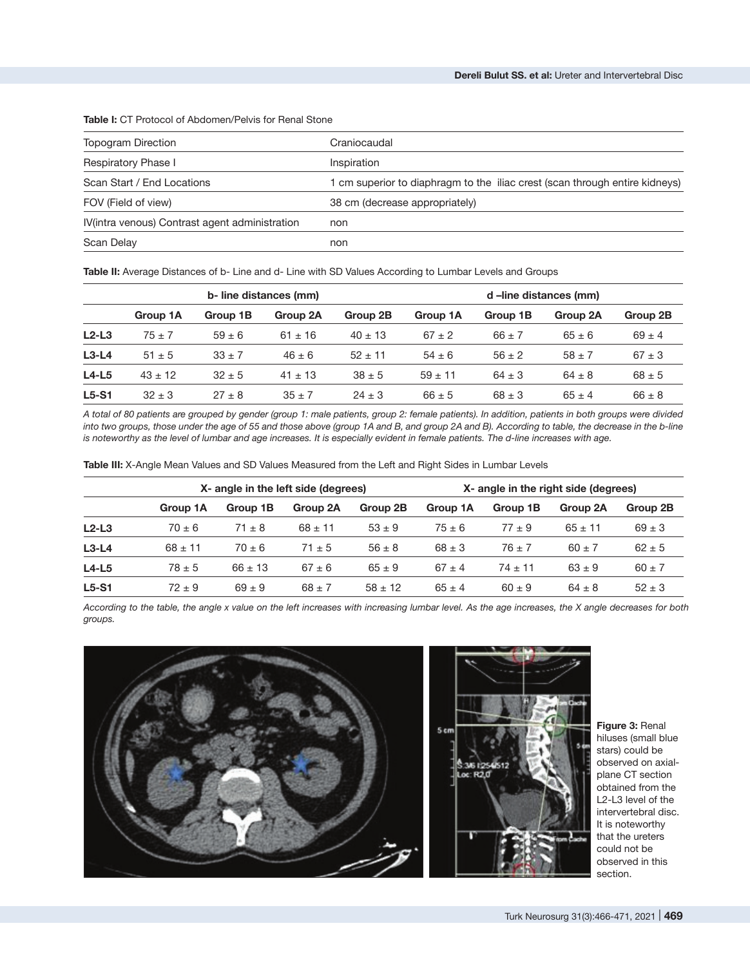| <b>Topogram Direction</b>                      | Craniocaudal                                                                |
|------------------------------------------------|-----------------------------------------------------------------------------|
| Respiratory Phase I                            | Inspiration                                                                 |
| Scan Start / End Locations                     | 1 cm superior to diaphragm to the iliac crest (scan through entire kidneys) |
| FOV (Field of view)                            | 38 cm (decrease appropriately)                                              |
| IV(intra venous) Contrast agent administration | non                                                                         |
| Scan Delay                                     | non                                                                         |
|                                                |                                                                             |

**Table I:** CT Protocol of Abdomen/Pelvis for Renal Stone

Table II: Average Distances of b- Line and d- Line with SD Values According to Lumbar Levels and Groups

|         | b-line distances (mm) |            |             |             | d-line distances (mm) |            |            |            |
|---------|-----------------------|------------|-------------|-------------|-----------------------|------------|------------|------------|
|         | Group 1A              | Group 1B   | Group 2A    | Group 2B    | Group 1A              | Group 1B   | Group 2A   | Group 2B   |
| $L2-L3$ | $75 + 7$              | $59 \pm 6$ | $61 \pm 16$ | $40 \pm 13$ | $67 \pm 2$            | $66 \pm 7$ | $65 \pm 6$ | $69 \pm 4$ |
| $L3-L4$ | $51 \pm 5$            | $33 \pm 7$ | $46 \pm 6$  | $52 \pm 11$ | $54 \pm 6$            | $56 \pm 2$ | $58 \pm 7$ | $67 \pm 3$ |
| $L4-L5$ | $43 \pm 12$           | $32 \pm 5$ | $41 \pm 13$ | $38 \pm 5$  | $59 \pm 11$           | $64 \pm 3$ | $64 \pm 8$ | $68 \pm 5$ |
| $L5-S1$ | $32 \pm 3$            | $27 \pm 8$ | $35 \pm 7$  | $24 \pm 3$  | $66 \pm 5$            | $68 \pm 3$ | $65 \pm 4$ | $66 \pm 8$ |

*A total of 80 patients are grouped by gender (group 1: male patients, group 2: female patients). In addition, patients in both groups were divided into two groups, those under the age of 55 and those above (group 1A and B, and group 2A and B). According to table, the decrease in the b-line is noteworthy as the level of lumbar and age increases. It is especially evident in female patients. The d-line increases with age.*

**Table III:** X-Angle Mean Values and SD Values Measured from the Left and Right Sides in Lumbar Levels

|         | X- angle in the left side (degrees) |             |             |             | X- angle in the right side (degrees) |             |             |            |
|---------|-------------------------------------|-------------|-------------|-------------|--------------------------------------|-------------|-------------|------------|
|         | Group 1A                            | Group 1B    | Group 2A    | Group 2B    | Group 1A                             | Group 1B    | Group 2A    | Group 2B   |
| $L2-L3$ | $70 \pm 6$                          | $71 \pm 8$  | $68 \pm 11$ | $53 \pm 9$  | $75 \pm 6$                           | $77 \pm 9$  | $65 \pm 11$ | $69 \pm 3$ |
| $L3-L4$ | $68 \pm 11$                         | $70 \pm 6$  | $71 \pm 5$  | $56 \pm 8$  | $68 \pm 3$                           | $76 \pm 7$  | $60 \pm 7$  | $62 \pm 5$ |
| $L4-L5$ | $78 \pm 5$                          | $66 \pm 13$ | $67 \pm 6$  | $65 \pm 9$  | $67 \pm 4$                           | $74 \pm 11$ | $63 \pm 9$  | $60 \pm 7$ |
| $L5-S1$ | $72 \pm 9$                          | $69 \pm 9$  | $68 \pm 7$  | $58 \pm 12$ | $65 \pm 4$                           | $60 \pm 9$  | $64 \pm 8$  | $52 \pm 3$ |

*According to the table, the angle x value on the left increases with increasing lumbar level. As the age increases, the X angle decreases for both groups.*



**Figure 3:** Renal hiluses (small blue stars) could be observed on axialplane CT section obtained from the L2-L3 level of the intervertebral disc. It is noteworthy that the ureters could not be observed in this section.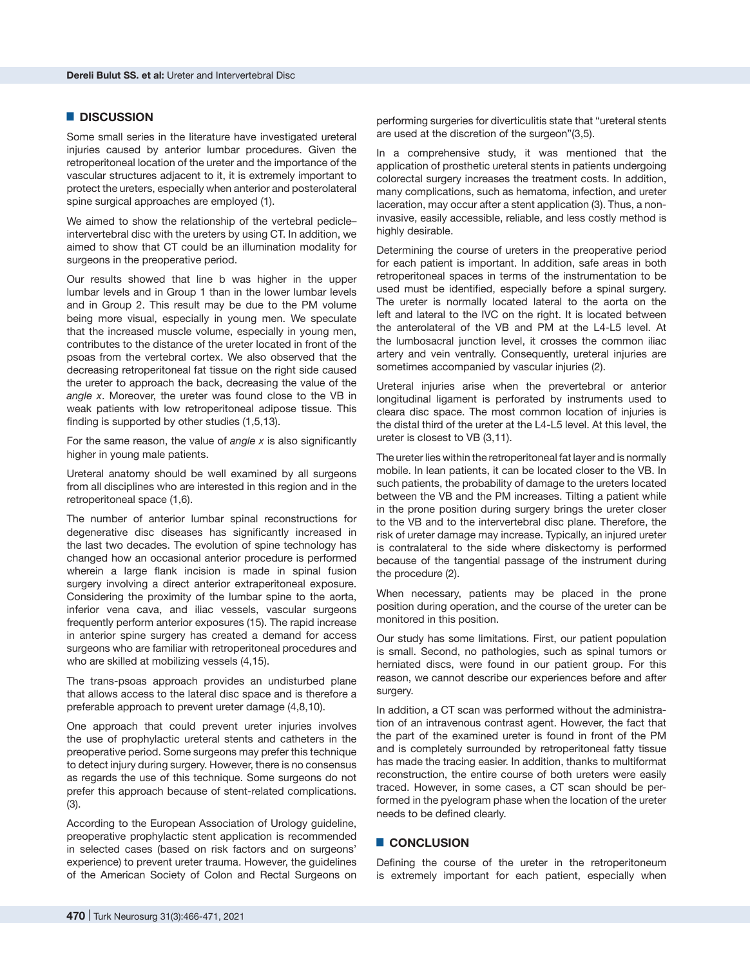## █ **DISCUSSION**

Some small series in the literature have investigated ureteral injuries caused by anterior lumbar procedures. Given the retroperitoneal location of the ureter and the importance of the vascular structures adjacent to it, it is extremely important to protect the ureters, especially when anterior and posterolateral spine surgical approaches are employed (1).

We aimed to show the relationship of the vertebral pedicleintervertebral disc with the ureters by using CT. In addition, we aimed to show that CT could be an illumination modality for surgeons in the preoperative period.

Our results showed that line b was higher in the upper lumbar levels and in Group 1 than in the lower lumbar levels and in Group 2. This result may be due to the PM volume being more visual, especially in young men. We speculate that the increased muscle volume, especially in young men, contributes to the distance of the ureter located in front of the psoas from the vertebral cortex. We also observed that the decreasing retroperitoneal fat tissue on the right side caused the ureter to approach the back, decreasing the value of the *angle x*. Moreover, the ureter was found close to the VB in weak patients with low retroperitoneal adipose tissue. This finding is supported by other studies (1,5,13).

For the same reason, the value of *angle x* is also significantly higher in young male patients.

Ureteral anatomy should be well examined by all surgeons from all disciplines who are interested in this region and in the retroperitoneal space (1,6).

The number of anterior lumbar spinal reconstructions for degenerative disc diseases has significantly increased in the last two decades. The evolution of spine technology has changed how an occasional anterior procedure is performed wherein a large flank incision is made in spinal fusion surgery involving a direct anterior extraperitoneal exposure. Considering the proximity of the lumbar spine to the aorta, inferior vena cava, and iliac vessels, vascular surgeons frequently perform anterior exposures (15). The rapid increase in anterior spine surgery has created a demand for access surgeons who are familiar with retroperitoneal procedures and who are skilled at mobilizing vessels (4,15).

The trans-psoas approach provides an undisturbed plane that allows access to the lateral disc space and is therefore a preferable approach to prevent ureter damage (4,8,10).

One approach that could prevent ureter injuries involves the use of prophylactic ureteral stents and catheters in the preoperative period. Some surgeons may prefer this technique to detect injury during surgery. However, there is no consensus as regards the use of this technique. Some surgeons do not prefer this approach because of stent-related complications. (3).

According to the European Association of Urology guideline, preoperative prophylactic stent application is recommended in selected cases (based on risk factors and on surgeons' experience) to prevent ureter trauma. However, the guidelines of the American Society of Colon and Rectal Surgeons on performing surgeries for diverticulitis state that "ureteral stents are used at the discretion of the surgeon"(3,5).

In a comprehensive study, it was mentioned that the application of prosthetic ureteral stents in patients undergoing colorectal surgery increases the treatment costs. In addition, many complications, such as hematoma, infection, and ureter laceration, may occur after a stent application (3). Thus, a noninvasive, easily accessible, reliable, and less costly method is highly desirable.

Determining the course of ureters in the preoperative period for each patient is important. In addition, safe areas in both retroperitoneal spaces in terms of the instrumentation to be used must be identified, especially before a spinal surgery. The ureter is normally located lateral to the aorta on the left and lateral to the IVC on the right. It is located between the anterolateral of the VB and PM at the L4-L5 level. At the lumbosacral junction level, it crosses the common iliac artery and vein ventrally. Consequently, ureteral injuries are sometimes accompanied by vascular injuries (2).

Ureteral injuries arise when the prevertebral or anterior longitudinal ligament is perforated by instruments used to cleara disc space. The most common location of injuries is the distal third of the ureter at the L4-L5 level. At this level, the ureter is closest to VB (3,11).

The ureter lies within the retroperitoneal fat layer and is normally mobile. In lean patients, it can be located closer to the VB. In such patients, the probability of damage to the ureters located between the VB and the PM increases. Tilting a patient while in the prone position during surgery brings the ureter closer to the VB and to the intervertebral disc plane. Therefore, the risk of ureter damage may increase. Typically, an injured ureter is contralateral to the side where diskectomy is performed because of the tangential passage of the instrument during the procedure (2).

When necessary, patients may be placed in the prone position during operation, and the course of the ureter can be monitored in this position.

Our study has some limitations. First, our patient population is small. Second, no pathologies, such as spinal tumors or herniated discs, were found in our patient group. For this reason, we cannot describe our experiences before and after surgery.

In addition, a CT scan was performed without the administration of an intravenous contrast agent. However, the fact that the part of the examined ureter is found in front of the PM and is completely surrounded by retroperitoneal fatty tissue has made the tracing easier. In addition, thanks to multiformat reconstruction, the entire course of both ureters were easily traced. However, in some cases, a CT scan should be performed in the pyelogram phase when the location of the ureter needs to be defined clearly.

#### █ **CONCLUSION**

Defining the course of the ureter in the retroperitoneum is extremely important for each patient, especially when